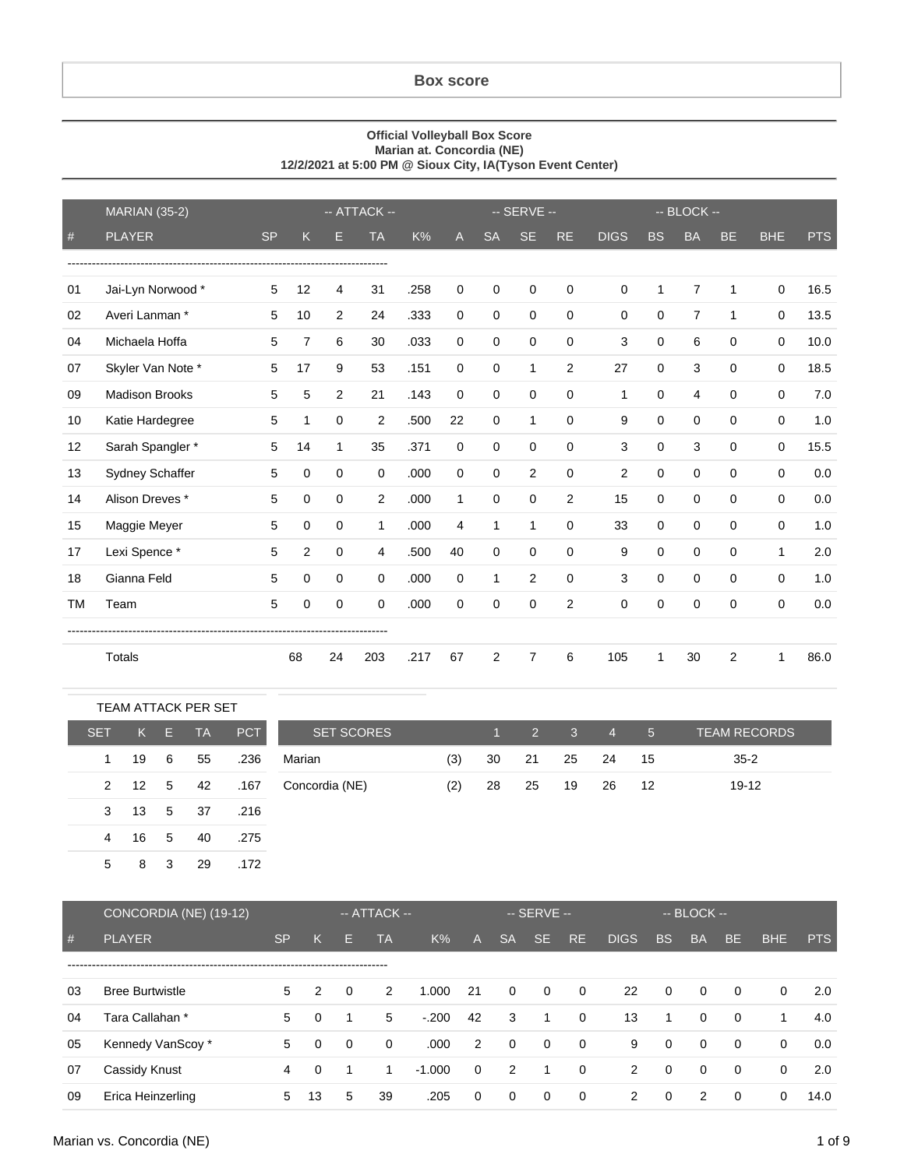## **Box score**

## **Official Volleyball Box Score Marian at. Concordia (NE) 12/2/2021 at 5:00 PM @ Sioux City, IA(Tyson Event Center)**

|                 | <b>MARIAN (35-2)</b>  | -- ATTACK -- |                |                |                |      | -- SERVE --  |              |             |                |                |              | $-$ BLOCK $-$ |           |             |            |
|-----------------|-----------------------|--------------|----------------|----------------|----------------|------|--------------|--------------|-------------|----------------|----------------|--------------|---------------|-----------|-------------|------------|
| $\#$            | <b>PLAYER</b>         | <b>SP</b>    | Κ              | E.             | <b>TA</b>      | K%   | A            | <b>SA</b>    | <b>SE</b>   | <b>RE</b>      | <b>DIGS</b>    | <b>BS</b>    | <b>BA</b>     | <b>BE</b> | <b>BHE</b>  | <b>PTS</b> |
|                 |                       |              |                |                |                |      |              |              |             |                |                |              |               |           |             |            |
| 01              | Jai-Lyn Norwood *     | 5            | 12             | 4              | 31             | .258 | 0            | 0            | $\mathbf 0$ | 0              | 0              | $\mathbf{1}$ | 7             | 1         | $\mathbf 0$ | 16.5       |
| 02              | Averi Lanman *        | 5            | 10             | $\overline{c}$ | 24             | .333 | $\mathbf 0$  | $\mathbf 0$  | $\mathbf 0$ | 0              | 0              | $\mathbf 0$  | 7             | 1         | $\mathbf 0$ | 13.5       |
| 04              | Michaela Hoffa        | 5            | $\overline{7}$ | 6              | 30             | .033 | 0            | 0            | $\Omega$    | $\Omega$       | 3              | $\mathbf 0$  | 6             | $\Omega$  | 0           | 10.0       |
| 07              | Skyler Van Note *     | 5            | 17             | 9              | 53             | .151 | 0            | 0            | 1           | $\overline{2}$ | 27             | 0            | 3             | $\Omega$  | 0           | 18.5       |
| 09              | <b>Madison Brooks</b> | 5            | 5              | $\overline{c}$ | 21             | .143 | $\mathbf 0$  | 0            | $\mathbf 0$ | $\Omega$       | $\mathbf{1}$   | $\mathbf 0$  | 4             | $\Omega$  | $\mathbf 0$ | 7.0        |
| 10 <sup>1</sup> | Katie Hardegree       | 5            | 1              | $\Omega$       | 2              | .500 | 22           | 0            | 1           | $\Omega$       | 9              | $\mathbf 0$  | $\mathbf 0$   | $\Omega$  | $\mathbf 0$ | 1.0        |
| 12              | Sarah Spangler *      | 5            | 14             | 1              | 35             | .371 | $\mathbf 0$  | $\mathbf 0$  | $\mathbf 0$ | 0              | 3              | $\mathbf 0$  | 3             | $\Omega$  | 0           | 15.5       |
| 13              | Sydney Schaffer       | 5            | 0              | $\mathbf 0$    | 0              | .000 | $\mathbf 0$  | 0            | 2           | 0              | $\overline{2}$ | $\mathbf 0$  | $\mathbf 0$   | $\Omega$  | $\mathbf 0$ | 0.0        |
| 14              | Alison Dreves *       | 5            | $\mathbf 0$    | 0              | $\overline{2}$ | .000 | $\mathbf{1}$ | $\mathbf 0$  | $\mathbf 0$ | $\overline{2}$ | 15             | $\mathbf 0$  | $\Omega$      | $\Omega$  | $\mathbf 0$ | 0.0        |
| 15              | Maggie Meyer          | 5            | $\mathbf 0$    | 0              | 1              | .000 | 4            | $\mathbf{1}$ | 1           | $\Omega$       | 33             | $\mathbf 0$  | $\mathbf 0$   | $\Omega$  | $\mathbf 0$ | 1.0        |
| 17              | Lexi Spence *         | 5            | $\overline{2}$ | $\Omega$       | 4              | .500 | 40           | $\Omega$     | $\Omega$    | $\Omega$       | 9              | $\Omega$     | $\Omega$      | $\Omega$  | 1           | 2.0        |
| 18              | Gianna Feld           | 5            | $\Omega$       | $\Omega$       | $\Omega$       | .000 | $\mathbf 0$  | 1            | 2           | $\Omega$       | 3              | $\Omega$     | $\Omega$      | $\Omega$  | $\mathbf 0$ | 1.0        |
| TM              | Team                  | 5            | $\mathbf 0$    | $\mathbf 0$    | 0              | .000 | $\mathbf 0$  | 0            | $\mathbf 0$ | $\overline{c}$ | $\mathbf 0$    | $\mathbf 0$  | $\mathbf 0$   | $\Omega$  | $\mathbf 0$ | 0.0        |
|                 |                       |              |                |                |                |      |              |              |             |                |                |              |               |           |             |            |
|                 | Totals                |              | 68             | 24             | 203            | .217 | 67           | 2            | 7           | 6              | 105            | 1            | 30            | 2         | 1           | 86.0       |

|              |     |   | <b>TEAM ATTACK PER SET</b> |            |                   |     |       |             |              |                |                 |                     |
|--------------|-----|---|----------------------------|------------|-------------------|-----|-------|-------------|--------------|----------------|-----------------|---------------------|
| <b>SET</b>   | K.  | Е | TA.                        | <b>PCT</b> | <b>SET SCORES</b> |     | $1 -$ | $2^{\circ}$ | $\mathbf{3}$ | $\overline{4}$ | $5\overline{)}$ | <b>TEAM RECORDS</b> |
| 1            | 19  | 6 | 55                         | .236       | Marian            | (3) | 30    | 21          | 25           | 24             | 15              | $35 - 2$            |
| $\mathbf{2}$ | -12 | 5 | 42                         | .167       | Concordia (NE)    | (2) | 28    | 25          | 19           | 26             | -12             | 19-12               |
| 3            | 13  | 5 | -37                        | .216       |                   |     |       |             |              |                |                 |                     |
| 4            | 16  | 5 | 40                         | .275       |                   |     |       |             |              |                |                 |                     |
| 5            | 8   | 3 | 29                         | .172       |                   |     |       |             |              |                |                 |                     |

|    | CONCORDIA (NE) (19-12) |           |          |          | $-$ ATTACK $-$ |          |             |                | $-$ SERVE $-$  |                |             |                | $-$ BLOCK $-$ |             |            |            |
|----|------------------------|-----------|----------|----------|----------------|----------|-------------|----------------|----------------|----------------|-------------|----------------|---------------|-------------|------------|------------|
| #  | <b>PLAYER</b>          | <b>SP</b> | K        | E.       | TA             | $K\%$    | A           | <b>SA</b>      | SE.            | RE.            | <b>DIGS</b> | <b>BS</b>      | <b>BA</b>     | <b>BE</b>   | <b>BHE</b> | <b>PTS</b> |
|    |                        |           |          |          |                |          |             |                |                |                |             |                |               |             |            |            |
| 03 | <b>Bree Burtwistle</b> | 5         | 2        | $\Omega$ | 2              | 1.000    | 21          | $\mathbf 0$    | $\overline{0}$ | $\mathbf{0}$   | 22          | $\overline{0}$ | $\Omega$      | $\Omega$    | $\Omega$   | 2.0        |
| 04 | Tara Callahan *        | 5         | $\Omega$ | 1        | 5              | $-.200$  | 42          | 3              | $\overline{1}$ | $\mathbf 0$    | 13          | 1              | $\Omega$      | $\Omega$    | 1          | 4.0        |
| 05 | Kennedy VanScoy*       | 5         | $\Omega$ | $\Omega$ | $\Omega$       | .000     | 2           | $\overline{0}$ | $\overline{0}$ | $\overline{0}$ | 9           | $\mathbf{0}$   | $\Omega$      | $\Omega$    | $\Omega$   | 0.0        |
| 07 | Cassidy Knust          | 4         | $\Omega$ |          |                | $-1.000$ | $\mathbf 0$ | $\overline{2}$ | -1             | $\mathbf{0}$   | 2           | $\Omega$       | $\Omega$      | $\mathbf 0$ | $\Omega$   | 2.0        |
| 09 | Erica Heinzerling      | 5         | 13       | 5        | 39             | .205     | 0           | 0              | $\Omega$       | $\mathbf 0$    | 2           | 0              | 2             | 0           | 0          | 14.0       |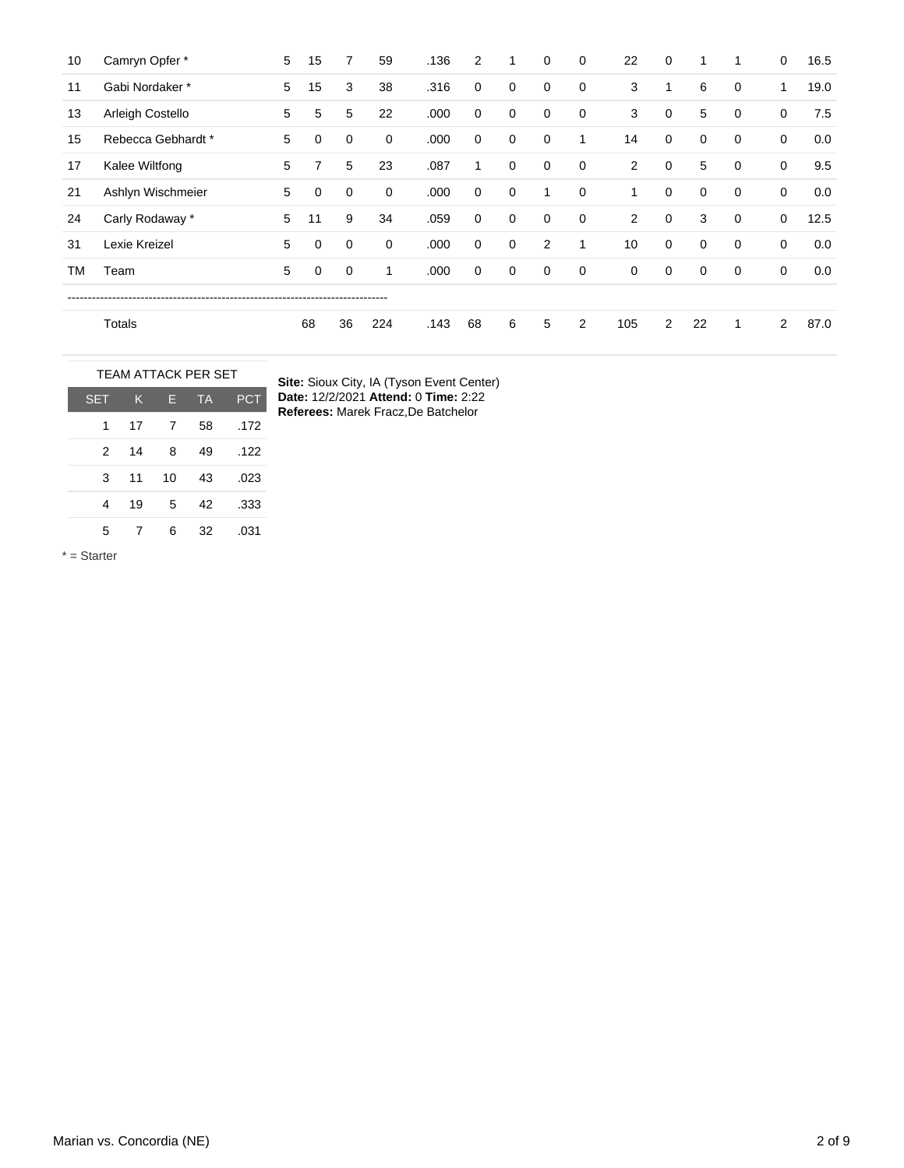| 10 | Camryn Opfer *     | 5 | 15 | 7           | 59          | .136 | 2           | 1           | $\mathbf 0$ | 0           | 22             | $\mathbf 0$    |             | 1           | $\mathbf 0$ | 16.5 |
|----|--------------------|---|----|-------------|-------------|------|-------------|-------------|-------------|-------------|----------------|----------------|-------------|-------------|-------------|------|
| 11 | Gabi Nordaker*     | 5 | 15 | 3           | 38          | .316 | 0           | 0           | $\mathbf 0$ | 0           | 3              | 1              | 6           | 0           | 1           | 19.0 |
| 13 | Arleigh Costello   | 5 | 5  | 5           | 22          | .000 | 0           | 0           | $\mathbf 0$ | 0           | 3              | $\mathbf 0$    | 5           | 0           | $\mathbf 0$ | 7.5  |
| 15 | Rebecca Gebhardt * | 5 | 0  | 0           | 0           | .000 | 0           | $\mathbf 0$ | $\mathbf 0$ | 1           | 14             | $\mathbf 0$    | $\mathbf 0$ | $\mathbf 0$ | $\mathbf 0$ | 0.0  |
| 17 | Kalee Wiltfong     | 5 | 7  | 5           | 23          | .087 | 1           | 0           | $\mathbf 0$ | $\mathbf 0$ | $\overline{2}$ | $\mathbf 0$    | 5           | 0           | $\mathbf 0$ | 9.5  |
| 21 | Ashlyn Wischmeier  | 5 | 0  | $\mathbf 0$ | 0           | .000 | 0           | 0           | 1           | 0           | 1              | $\mathbf 0$    | $\mathbf 0$ | $\mathbf 0$ | $\mathbf 0$ | 0.0  |
| 24 | Carly Rodaway *    | 5 | 11 | 9           | 34          | .059 | $\mathbf 0$ | 0           | $\mathbf 0$ | 0           | 2              | $\mathbf 0$    | 3           | $\mathbf 0$ | $\mathbf 0$ | 12.5 |
| 31 | Lexie Kreizel      | 5 | 0  | $\mathbf 0$ | $\mathbf 0$ | .000 | 0           | $\mathbf 0$ | 2           | 1           | 10             | $\mathbf 0$    | $\mathbf 0$ | $\mathbf 0$ | $\mathbf 0$ | 0.0  |
| ТM | Team               | 5 | 0  | $\mathbf 0$ | 1           | .000 | 0           | 0           | $\mathbf 0$ | 0           | 0              | 0              | 0           | 0           | $\mathbf 0$ | 0.0  |
|    |                    |   |    |             |             |      |             |             |             |             |                |                |             |             |             |      |
|    | Totals             |   | 68 | 36          | 224         | .143 | 68          | 6           | 5           | 2           | 105            | $\overline{2}$ | 22          | 1           | 2           | 87.0 |

|            | <b>TEAM ATTACK PER SET</b> |    |           |            |  |  |  |  |  |  |  |
|------------|----------------------------|----|-----------|------------|--|--|--|--|--|--|--|
| <b>SET</b> | IK.                        | F  | <b>TA</b> | <b>PCT</b> |  |  |  |  |  |  |  |
| 1          | 17                         | 7  | 58        | .172       |  |  |  |  |  |  |  |
| 2          | 14                         | 8  | 49        | .122       |  |  |  |  |  |  |  |
| 3          | 11                         | 10 | 43        | .023       |  |  |  |  |  |  |  |
| 4          | 19                         | 5  | 42        | .333       |  |  |  |  |  |  |  |
| 5          | 7                          | 6  | 32        | .031       |  |  |  |  |  |  |  |

**Site:** Sioux City, IA (Tyson Event Center) **Date:** 12/2/2021 **Attend:** 0 **Time:** 2:22 **Referees:** Marek Fracz,De Batchelor

\* = Starter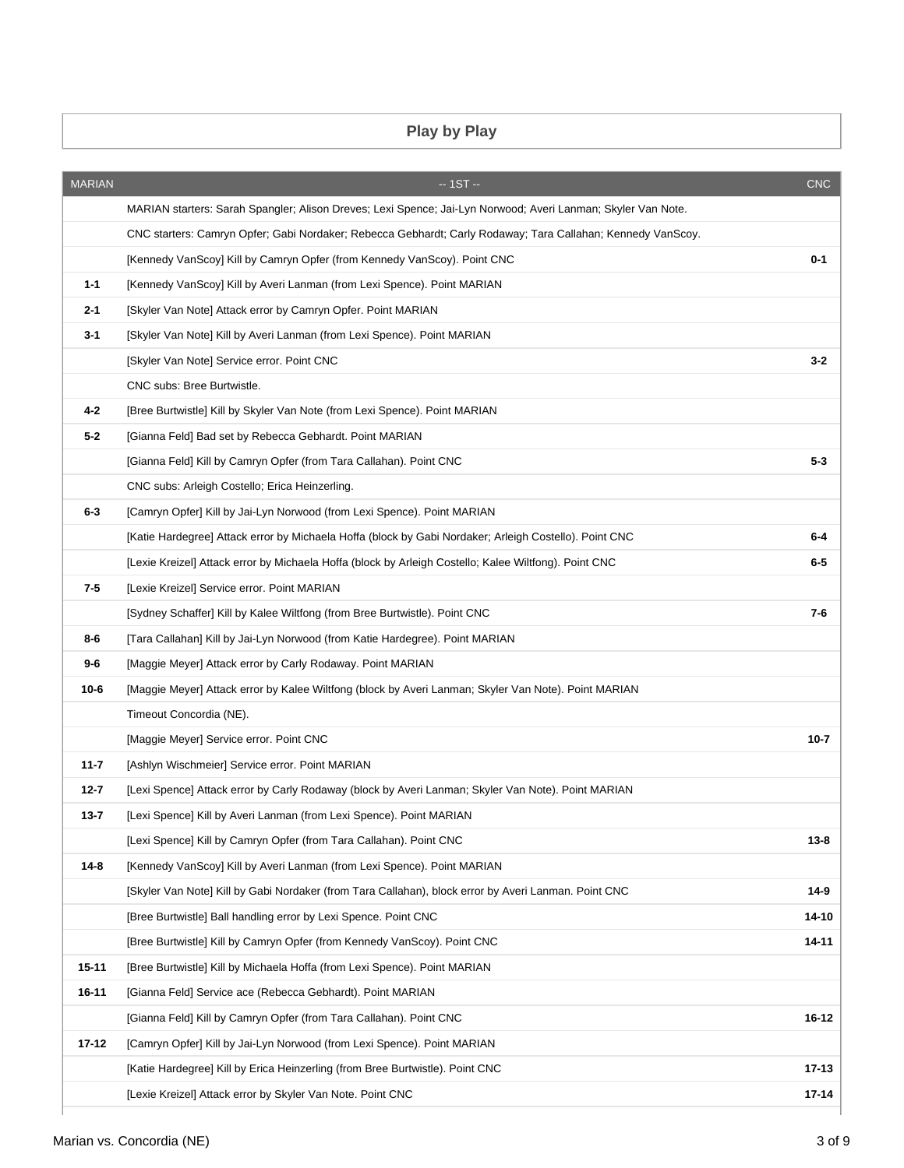## **Play by Play**

| <b>MARIAN</b> | $-1ST -$                                                                                                     | <b>CNC</b> |
|---------------|--------------------------------------------------------------------------------------------------------------|------------|
|               | MARIAN starters: Sarah Spangler; Alison Dreves; Lexi Spence; Jai-Lyn Norwood; Averi Lanman; Skyler Van Note. |            |
|               | CNC starters: Camryn Opfer; Gabi Nordaker; Rebecca Gebhardt; Carly Rodaway; Tara Callahan; Kennedy VanScoy.  |            |
|               | [Kennedy VanScoy] Kill by Camryn Opfer (from Kennedy VanScoy). Point CNC                                     | $0 - 1$    |
| $1 - 1$       | [Kennedy VanScoy] Kill by Averi Lanman (from Lexi Spence). Point MARIAN                                      |            |
| $2 - 1$       | [Skyler Van Note] Attack error by Camryn Opfer. Point MARIAN                                                 |            |
| 3-1           | [Skyler Van Note] Kill by Averi Lanman (from Lexi Spence). Point MARIAN                                      |            |
|               | [Skyler Van Note] Service error. Point CNC                                                                   | $3 - 2$    |
|               | CNC subs: Bree Burtwistle.                                                                                   |            |
| $4 - 2$       | [Bree Burtwistle] Kill by Skyler Van Note (from Lexi Spence). Point MARIAN                                   |            |
| $5 - 2$       | [Gianna Feld] Bad set by Rebecca Gebhardt. Point MARIAN                                                      |            |
|               | [Gianna Feld] Kill by Camryn Opfer (from Tara Callahan). Point CNC                                           | 5-3        |
|               | CNC subs: Arleigh Costello; Erica Heinzerling.                                                               |            |
| 6-3           | [Camryn Opfer] Kill by Jai-Lyn Norwood (from Lexi Spence). Point MARIAN                                      |            |
|               | [Katie Hardegree] Attack error by Michaela Hoffa (block by Gabi Nordaker; Arleigh Costello). Point CNC       | $6-4$      |
|               | [Lexie Kreizel] Attack error by Michaela Hoffa (block by Arleigh Costello; Kalee Wiltfong). Point CNC        | 6-5        |
| 7-5           | [Lexie Kreizel] Service error. Point MARIAN                                                                  |            |
|               | [Sydney Schaffer] Kill by Kalee Wiltfong (from Bree Burtwistle). Point CNC                                   | 7-6        |
| 8-6           | [Tara Callahan] Kill by Jai-Lyn Norwood (from Katie Hardegree). Point MARIAN                                 |            |
| 9-6           | [Maggie Meyer] Attack error by Carly Rodaway. Point MARIAN                                                   |            |
| 10-6          | [Maggie Meyer] Attack error by Kalee Wiltfong (block by Averi Lanman; Skyler Van Note). Point MARIAN         |            |
|               | Timeout Concordia (NE).                                                                                      |            |
|               | [Maggie Meyer] Service error. Point CNC                                                                      | $10 - 7$   |
| $11 - 7$      | [Ashlyn Wischmeier] Service error. Point MARIAN                                                              |            |
| $12 - 7$      | [Lexi Spence] Attack error by Carly Rodaway (block by Averi Lanman; Skyler Van Note). Point MARIAN           |            |
| $13 - 7$      | [Lexi Spence] Kill by Averi Lanman (from Lexi Spence). Point MARIAN                                          |            |
|               | [Lexi Spence] Kill by Camryn Opfer (from Tara Callahan). Point CNC                                           | $13 - 8$   |
| $14 - 8$      | [Kennedy VanScoy] Kill by Averi Lanman (from Lexi Spence). Point MARIAN                                      |            |
|               | [Skyler Van Note] Kill by Gabi Nordaker (from Tara Callahan), block error by Averi Lanman. Point CNC         | $14-9$     |
|               | [Bree Burtwistle] Ball handling error by Lexi Spence. Point CNC                                              | 14-10      |
|               | [Bree Burtwistle] Kill by Camryn Opfer (from Kennedy VanScoy). Point CNC                                     | 14-11      |
| 15-11         | [Bree Burtwistle] Kill by Michaela Hoffa (from Lexi Spence). Point MARIAN                                    |            |
| 16-11         | [Gianna Feld] Service ace (Rebecca Gebhardt). Point MARIAN                                                   |            |
|               | [Gianna Feld] Kill by Camryn Opfer (from Tara Callahan). Point CNC                                           | 16-12      |
| $17 - 12$     | [Camryn Opfer] Kill by Jai-Lyn Norwood (from Lexi Spence). Point MARIAN                                      |            |
|               | [Katie Hardegree] Kill by Erica Heinzerling (from Bree Burtwistle). Point CNC                                | $17 - 13$  |
|               | [Lexie Kreizel] Attack error by Skyler Van Note. Point CNC                                                   | $17 - 14$  |
|               |                                                                                                              |            |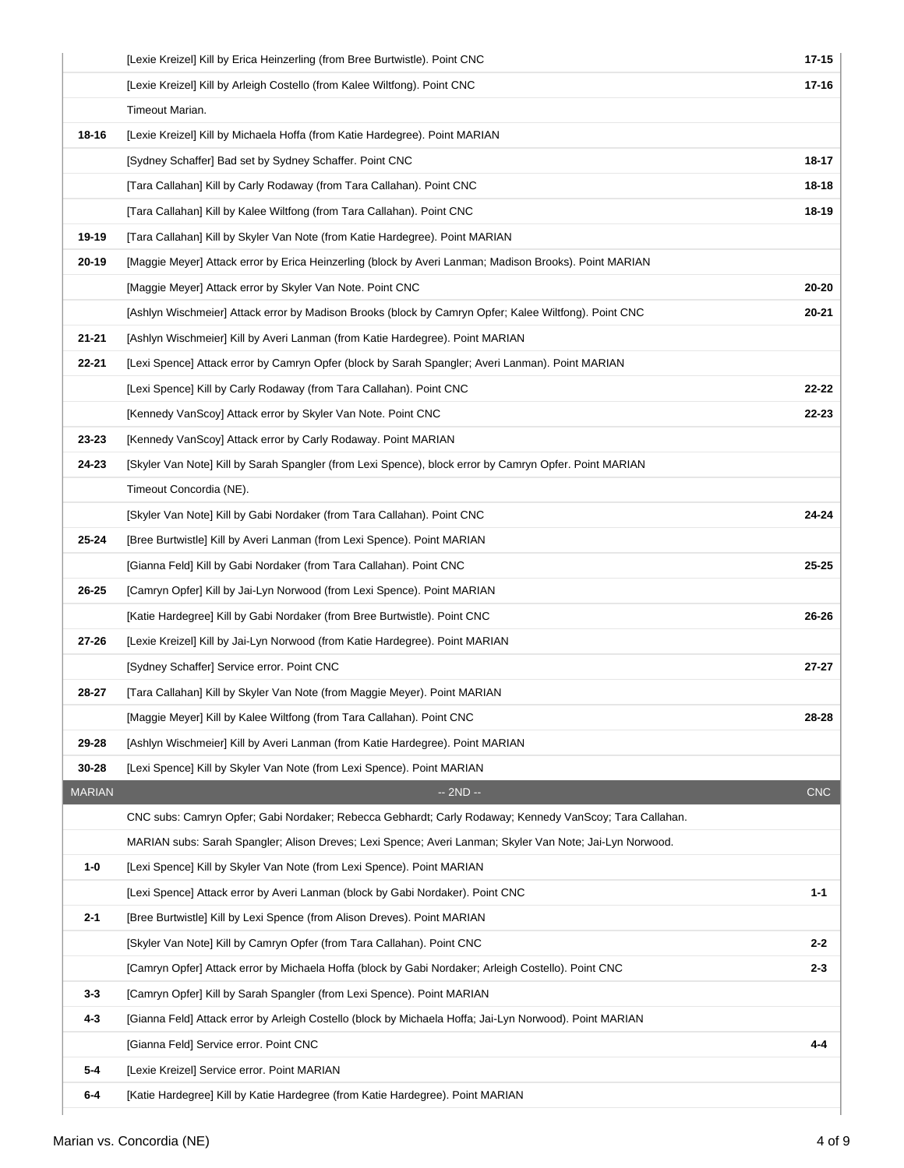|               | [Lexie Kreizel] Kill by Erica Heinzerling (from Bree Burtwistle). Point CNC                              | $17 - 15$  |
|---------------|----------------------------------------------------------------------------------------------------------|------------|
|               | [Lexie Kreizel] Kill by Arleigh Costello (from Kalee Wiltfong). Point CNC                                | $17 - 16$  |
|               | Timeout Marian.                                                                                          |            |
| 18-16         | [Lexie Kreizel] Kill by Michaela Hoffa (from Katie Hardegree). Point MARIAN                              |            |
|               | [Sydney Schaffer] Bad set by Sydney Schaffer. Point CNC                                                  | 18-17      |
|               | [Tara Callahan] Kill by Carly Rodaway (from Tara Callahan). Point CNC                                    | 18-18      |
|               | [Tara Callahan] Kill by Kalee Wiltfong (from Tara Callahan). Point CNC                                   | 18-19      |
| 19-19         | [Tara Callahan] Kill by Skyler Van Note (from Katie Hardegree). Point MARIAN                             |            |
| $20 - 19$     | [Maggie Meyer] Attack error by Erica Heinzerling (block by Averi Lanman; Madison Brooks). Point MARIAN   |            |
|               | [Maggie Meyer] Attack error by Skyler Van Note. Point CNC                                                | 20-20      |
|               | [Ashlyn Wischmeier] Attack error by Madison Brooks (block by Camryn Opfer; Kalee Wiltfong). Point CNC    | $20 - 21$  |
| $21 - 21$     | [Ashlyn Wischmeier] Kill by Averi Lanman (from Katie Hardegree). Point MARIAN                            |            |
| $22 - 21$     | [Lexi Spence] Attack error by Camryn Opfer (block by Sarah Spangler; Averi Lanman). Point MARIAN         |            |
|               | [Lexi Spence] Kill by Carly Rodaway (from Tara Callahan). Point CNC                                      | $22 - 22$  |
|               | [Kennedy VanScoy] Attack error by Skyler Van Note. Point CNC                                             | 22-23      |
| 23-23         | [Kennedy VanScoy] Attack error by Carly Rodaway. Point MARIAN                                            |            |
| 24-23         | [Skyler Van Note] Kill by Sarah Spangler (from Lexi Spence), block error by Camryn Opfer. Point MARIAN   |            |
|               | Timeout Concordia (NE).                                                                                  |            |
|               | [Skyler Van Note] Kill by Gabi Nordaker (from Tara Callahan). Point CNC                                  | 24-24      |
| 25-24         | [Bree Burtwistle] Kill by Averi Lanman (from Lexi Spence). Point MARIAN                                  |            |
|               | [Gianna Feld] Kill by Gabi Nordaker (from Tara Callahan). Point CNC                                      | 25-25      |
| 26-25         | [Camryn Opfer] Kill by Jai-Lyn Norwood (from Lexi Spence). Point MARIAN                                  |            |
|               | [Katie Hardegree] Kill by Gabi Nordaker (from Bree Burtwistle). Point CNC                                | $26 - 26$  |
| $27 - 26$     | [Lexie Kreizel] Kill by Jai-Lyn Norwood (from Katie Hardegree). Point MARIAN                             |            |
|               | [Sydney Schaffer] Service error. Point CNC                                                               | $27 - 27$  |
| 28-27         | [Tara Callahan] Kill by Skyler Van Note (from Maggie Meyer). Point MARIAN                                |            |
|               | [Maggie Meyer] Kill by Kalee Wiltfong (from Tara Callahan). Point CNC                                    | 28-28      |
| 29-28         | [Ashlyn Wischmeier] Kill by Averi Lanman (from Katie Hardegree). Point MARIAN                            |            |
| 30-28         | [Lexi Spence] Kill by Skyler Van Note (from Lexi Spence). Point MARIAN                                   |            |
| <b>MARIAN</b> | $-2ND -$                                                                                                 | <b>CNC</b> |
|               | CNC subs: Camryn Opfer; Gabi Nordaker; Rebecca Gebhardt; Carly Rodaway; Kennedy VanScoy; Tara Callahan.  |            |
|               | MARIAN subs: Sarah Spangler; Alison Dreves; Lexi Spence; Averi Lanman; Skyler Van Note; Jai-Lyn Norwood. |            |
| 1-0           | [Lexi Spence] Kill by Skyler Van Note (from Lexi Spence). Point MARIAN                                   |            |
|               | [Lexi Spence] Attack error by Averi Lanman (block by Gabi Nordaker). Point CNC                           | 1-1        |
| $2 - 1$       | [Bree Burtwistle] Kill by Lexi Spence (from Alison Dreves). Point MARIAN                                 |            |
|               | [Skyler Van Note] Kill by Camryn Opfer (from Tara Callahan). Point CNC                                   | 2-2        |
|               | [Camryn Opfer] Attack error by Michaela Hoffa (block by Gabi Nordaker; Arleigh Costello). Point CNC      | 2-3        |
| $3 - 3$       | [Camryn Opfer] Kill by Sarah Spangler (from Lexi Spence). Point MARIAN                                   |            |
| $4 - 3$       | [Gianna Feld] Attack error by Arleigh Costello (block by Michaela Hoffa; Jai-Lyn Norwood). Point MARIAN  |            |
|               | [Gianna Feld] Service error. Point CNC                                                                   | 4-4        |
| $5-4$         | [Lexie Kreizel] Service error. Point MARIAN                                                              |            |
| $6-4$         | [Katie Hardegree] Kill by Katie Hardegree (from Katie Hardegree). Point MARIAN                           |            |
|               |                                                                                                          |            |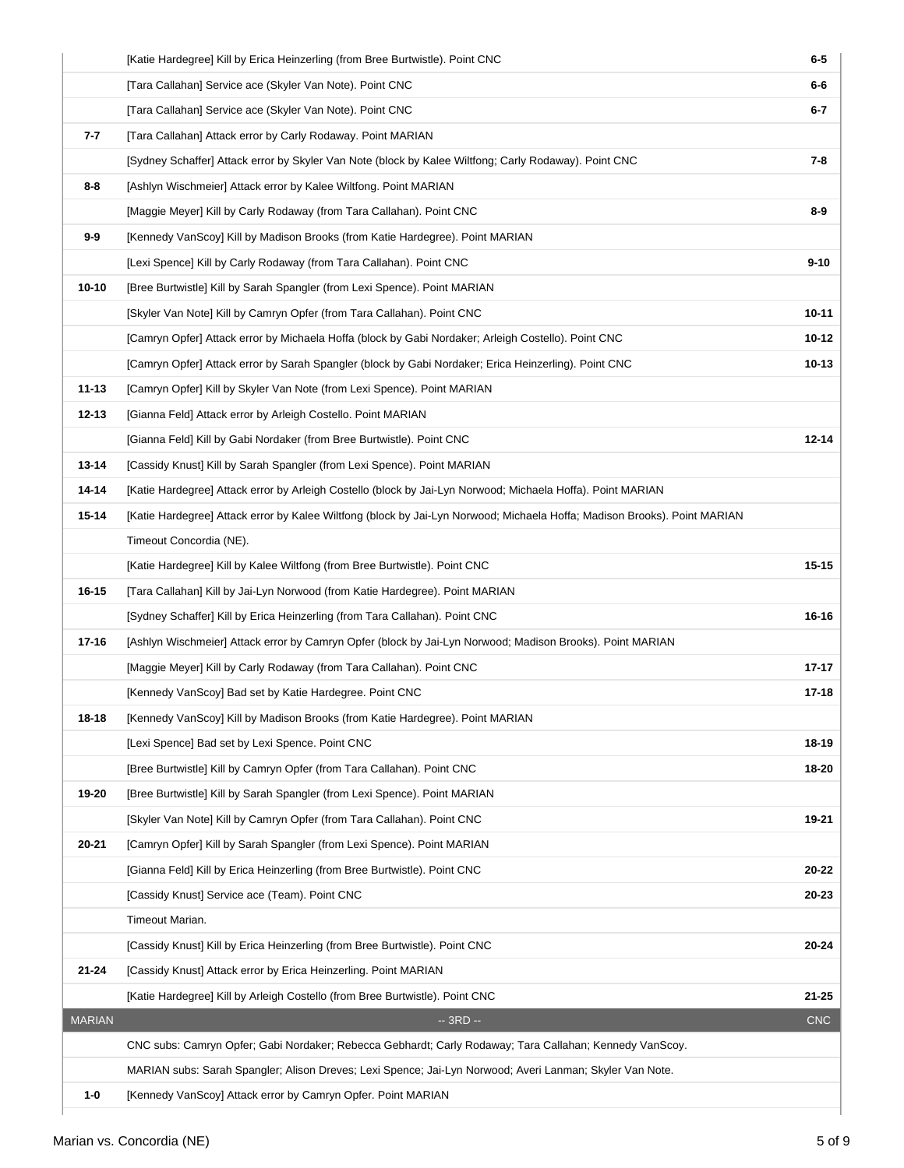|               | [Katie Hardegree] Kill by Erica Heinzerling (from Bree Burtwistle). Point CNC                                             | $6-5$      |
|---------------|---------------------------------------------------------------------------------------------------------------------------|------------|
|               | [Tara Callahan] Service ace (Skyler Van Note). Point CNC                                                                  | $6-6$      |
|               | [Tara Callahan] Service ace (Skyler Van Note). Point CNC                                                                  | $6 - 7$    |
| 7-7           | [Tara Callahan] Attack error by Carly Rodaway. Point MARIAN                                                               |            |
|               | [Sydney Schaffer] Attack error by Skyler Van Note (block by Kalee Wiltfong; Carly Rodaway). Point CNC                     | 7-8        |
| 8-8           | [Ashlyn Wischmeier] Attack error by Kalee Wiltfong. Point MARIAN                                                          |            |
|               | [Maggie Meyer] Kill by Carly Rodaway (from Tara Callahan). Point CNC                                                      | 8-9        |
| $9-9$         | [Kennedy VanScoy] Kill by Madison Brooks (from Katie Hardegree). Point MARIAN                                             |            |
|               | [Lexi Spence] Kill by Carly Rodaway (from Tara Callahan). Point CNC                                                       | $9 - 10$   |
| $10 - 10$     | [Bree Burtwistle] Kill by Sarah Spangler (from Lexi Spence). Point MARIAN                                                 |            |
|               | [Skyler Van Note] Kill by Camryn Opfer (from Tara Callahan). Point CNC                                                    | 10-11      |
|               | [Camryn Opfer] Attack error by Michaela Hoffa (block by Gabi Nordaker; Arleigh Costello). Point CNC                       | 10-12      |
|               | [Camryn Opfer] Attack error by Sarah Spangler (block by Gabi Nordaker; Erica Heinzerling). Point CNC                      | $10 - 13$  |
| $11 - 13$     | [Camryn Opfer] Kill by Skyler Van Note (from Lexi Spence). Point MARIAN                                                   |            |
| 12-13         | [Gianna Feld] Attack error by Arleigh Costello. Point MARIAN                                                              |            |
|               | [Gianna Feld] Kill by Gabi Nordaker (from Bree Burtwistle). Point CNC                                                     | $12 - 14$  |
| 13-14         | [Cassidy Knust] Kill by Sarah Spangler (from Lexi Spence). Point MARIAN                                                   |            |
| 14-14         | [Katie Hardegree] Attack error by Arleigh Costello (block by Jai-Lyn Norwood; Michaela Hoffa). Point MARIAN               |            |
| 15-14         | [Katie Hardegree] Attack error by Kalee Wiltfong (block by Jai-Lyn Norwood; Michaela Hoffa; Madison Brooks). Point MARIAN |            |
|               | Timeout Concordia (NE).                                                                                                   |            |
|               | [Katie Hardegree] Kill by Kalee Wiltfong (from Bree Burtwistle). Point CNC                                                | $15 - 15$  |
| 16-15         | [Tara Callahan] Kill by Jai-Lyn Norwood (from Katie Hardegree). Point MARIAN                                              |            |
|               | [Sydney Schaffer] Kill by Erica Heinzerling (from Tara Callahan). Point CNC                                               | 16-16      |
| 17-16         | [Ashlyn Wischmeier] Attack error by Camryn Opfer (block by Jai-Lyn Norwood; Madison Brooks). Point MARIAN                 |            |
|               | [Maggie Meyer] Kill by Carly Rodaway (from Tara Callahan). Point CNC                                                      | $17 - 17$  |
|               | [Kennedy VanScoy] Bad set by Katie Hardegree. Point CNC                                                                   | 17-18      |
| 18-18         | [Kennedy VanScoy] Kill by Madison Brooks (from Katie Hardegree). Point MARIAN                                             |            |
|               | [Lexi Spence] Bad set by Lexi Spence. Point CNC                                                                           | 18-19      |
|               | [Bree Burtwistle] Kill by Camryn Opfer (from Tara Callahan). Point CNC                                                    | 18-20      |
| 19-20         | [Bree Burtwistle] Kill by Sarah Spangler (from Lexi Spence). Point MARIAN                                                 |            |
|               | [Skyler Van Note] Kill by Camryn Opfer (from Tara Callahan). Point CNC                                                    | 19-21      |
| 20-21         | [Camryn Opfer] Kill by Sarah Spangler (from Lexi Spence). Point MARIAN                                                    |            |
|               | [Gianna Feld] Kill by Erica Heinzerling (from Bree Burtwistle). Point CNC                                                 | 20-22      |
|               | [Cassidy Knust] Service ace (Team). Point CNC                                                                             | 20-23      |
|               | Timeout Marian.                                                                                                           |            |
|               | [Cassidy Knust] Kill by Erica Heinzerling (from Bree Burtwistle). Point CNC                                               | 20-24      |
| $21 - 24$     | [Cassidy Knust] Attack error by Erica Heinzerling. Point MARIAN                                                           |            |
|               | [Katie Hardegree] Kill by Arleigh Costello (from Bree Burtwistle). Point CNC                                              | 21-25      |
| <b>MARIAN</b> | $-3RD -$                                                                                                                  | <b>CNC</b> |
|               | CNC subs: Camryn Opfer; Gabi Nordaker; Rebecca Gebhardt; Carly Rodaway; Tara Callahan; Kennedy VanScoy.                   |            |
|               | MARIAN subs: Sarah Spangler; Alison Dreves; Lexi Spence; Jai-Lyn Norwood; Averi Lanman; Skyler Van Note.                  |            |
| $1 - 0$       | [Kennedy VanScoy] Attack error by Camryn Opfer. Point MARIAN                                                              |            |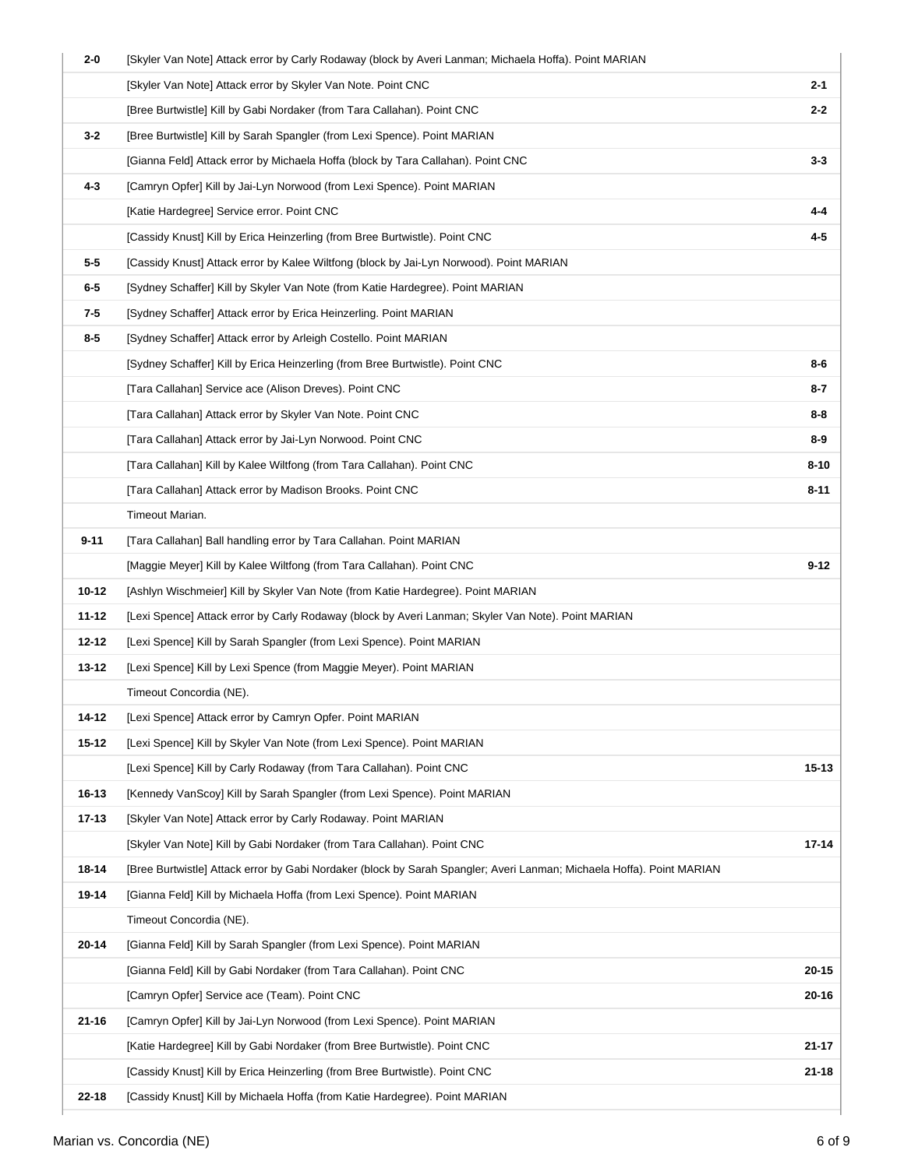| 2-0       | [Skyler Van Note] Attack error by Carly Rodaway (block by Averi Lanman; Michaela Hoffa). Point MARIAN                 |           |
|-----------|-----------------------------------------------------------------------------------------------------------------------|-----------|
|           | [Skyler Van Note] Attack error by Skyler Van Note. Point CNC                                                          | $2 - 1$   |
|           | [Bree Burtwistle] Kill by Gabi Nordaker (from Tara Callahan). Point CNC                                               | $2 - 2$   |
| $3 - 2$   | [Bree Burtwistle] Kill by Sarah Spangler (from Lexi Spence). Point MARIAN                                             |           |
|           | [Gianna Feld] Attack error by Michaela Hoffa (block by Tara Callahan). Point CNC                                      | $3 - 3$   |
| 4-3       | [Camryn Opfer] Kill by Jai-Lyn Norwood (from Lexi Spence). Point MARIAN                                               |           |
|           | [Katie Hardegree] Service error. Point CNC                                                                            | $4 - 4$   |
|           | [Cassidy Knust] Kill by Erica Heinzerling (from Bree Burtwistle). Point CNC                                           | 4-5       |
| 5-5       | [Cassidy Knust] Attack error by Kalee Wiltfong (block by Jai-Lyn Norwood). Point MARIAN                               |           |
| $6-5$     | [Sydney Schaffer] Kill by Skyler Van Note (from Katie Hardegree). Point MARIAN                                        |           |
| 7-5       | [Sydney Schaffer] Attack error by Erica Heinzerling. Point MARIAN                                                     |           |
| 8-5       | [Sydney Schaffer] Attack error by Arleigh Costello. Point MARIAN                                                      |           |
|           | [Sydney Schaffer] Kill by Erica Heinzerling (from Bree Burtwistle). Point CNC                                         | $8 - 6$   |
|           | [Tara Callahan] Service ace (Alison Dreves). Point CNC                                                                | 8-7       |
|           | [Tara Callahan] Attack error by Skyler Van Note. Point CNC                                                            | $8 - 8$   |
|           | [Tara Callahan] Attack error by Jai-Lyn Norwood. Point CNC                                                            | 8-9       |
|           | [Tara Callahan] Kill by Kalee Wiltfong (from Tara Callahan). Point CNC                                                | $8 - 10$  |
|           | [Tara Callahan] Attack error by Madison Brooks. Point CNC                                                             | $8 - 11$  |
|           | Timeout Marian.                                                                                                       |           |
| $9 - 11$  | [Tara Callahan] Ball handling error by Tara Callahan. Point MARIAN                                                    |           |
|           | [Maggie Meyer] Kill by Kalee Wiltfong (from Tara Callahan). Point CNC                                                 | $9 - 12$  |
| 10-12     | [Ashlyn Wischmeier] Kill by Skyler Van Note (from Katie Hardegree). Point MARIAN                                      |           |
| 11-12     | [Lexi Spence] Attack error by Carly Rodaway (block by Averi Lanman; Skyler Van Note). Point MARIAN                    |           |
| 12-12     | [Lexi Spence] Kill by Sarah Spangler (from Lexi Spence). Point MARIAN                                                 |           |
| 13-12     | [Lexi Spence] Kill by Lexi Spence (from Maggie Meyer). Point MARIAN                                                   |           |
|           | Timeout Concordia (NE).                                                                                               |           |
| 14-12     | [Lexi Spence] Attack error by Camryn Opfer. Point MARIAN                                                              |           |
| 15-12     | [Lexi Spence] Kill by Skyler Van Note (from Lexi Spence). Point MARIAN                                                |           |
|           | [Lexi Spence] Kill by Carly Rodaway (from Tara Callahan). Point CNC                                                   | $15 - 13$ |
| 16-13     | [Kennedy VanScoy] Kill by Sarah Spangler (from Lexi Spence). Point MARIAN                                             |           |
| $17 - 13$ | [Skyler Van Note] Attack error by Carly Rodaway. Point MARIAN                                                         |           |
|           | [Skyler Van Note] Kill by Gabi Nordaker (from Tara Callahan). Point CNC                                               | 17-14     |
| 18-14     | [Bree Burtwistle] Attack error by Gabi Nordaker (block by Sarah Spangler; Averi Lanman; Michaela Hoffa). Point MARIAN |           |
| 19-14     | [Gianna Feld] Kill by Michaela Hoffa (from Lexi Spence). Point MARIAN                                                 |           |
|           | Timeout Concordia (NE).                                                                                               |           |
| 20-14     | [Gianna Feld] Kill by Sarah Spangler (from Lexi Spence). Point MARIAN                                                 |           |
|           | [Gianna Feld] Kill by Gabi Nordaker (from Tara Callahan). Point CNC                                                   | 20-15     |
|           | [Camryn Opfer] Service ace (Team). Point CNC                                                                          | $20 - 16$ |
| $21 - 16$ | [Camryn Opfer] Kill by Jai-Lyn Norwood (from Lexi Spence). Point MARIAN                                               |           |
|           | [Katie Hardegree] Kill by Gabi Nordaker (from Bree Burtwistle). Point CNC                                             | 21-17     |
|           | [Cassidy Knust] Kill by Erica Heinzerling (from Bree Burtwistle). Point CNC                                           | 21-18     |
| 22-18     | [Cassidy Knust] Kill by Michaela Hoffa (from Katie Hardegree). Point MARIAN                                           |           |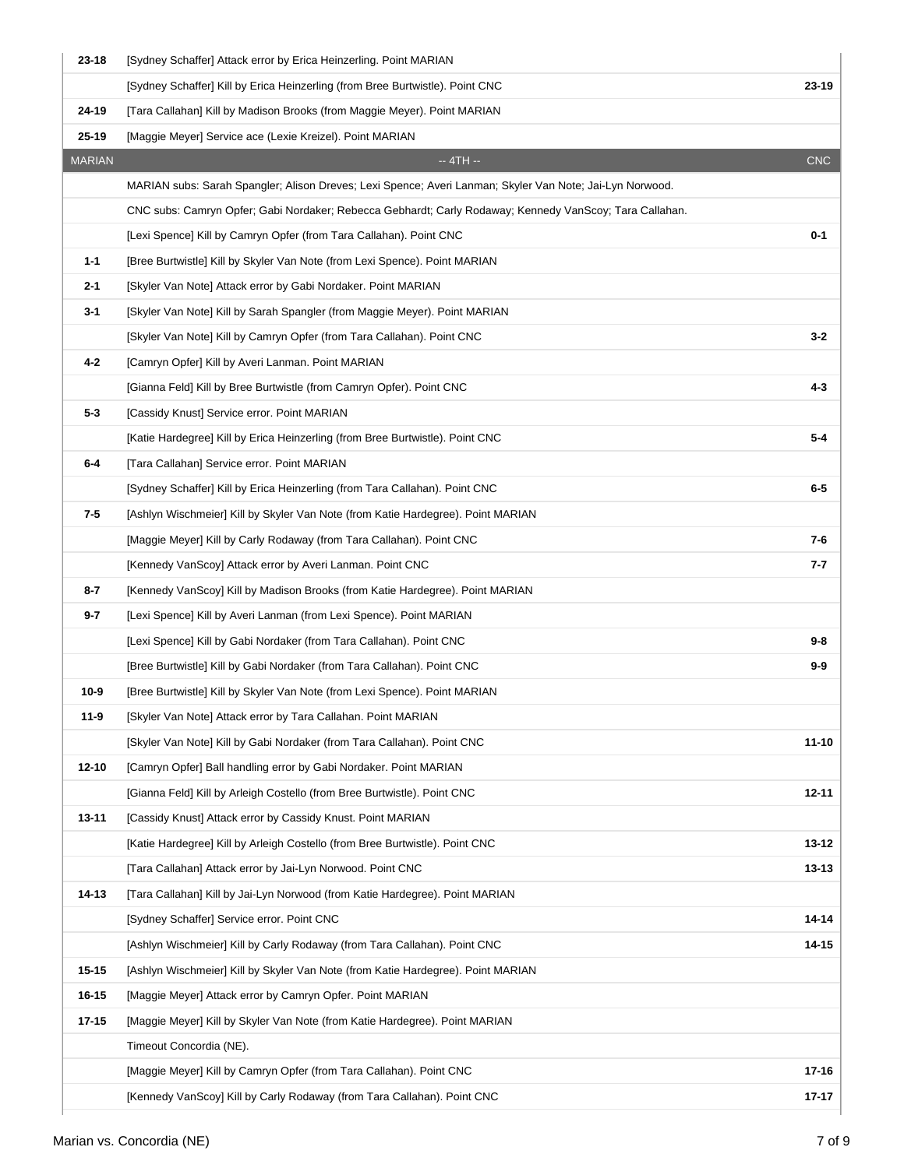| $23 - 18$     | [Sydney Schaffer] Attack error by Erica Heinzerling. Point MARIAN                                        |            |
|---------------|----------------------------------------------------------------------------------------------------------|------------|
|               | [Sydney Schaffer] Kill by Erica Heinzerling (from Bree Burtwistle). Point CNC                            | 23-19      |
| 24-19         | [Tara Callahan] Kill by Madison Brooks (from Maggie Meyer). Point MARIAN                                 |            |
| $25 - 19$     | [Maggie Meyer] Service ace (Lexie Kreizel). Point MARIAN                                                 |            |
| <b>MARIAN</b> | $-4TH -$                                                                                                 | <b>CNC</b> |
|               | MARIAN subs: Sarah Spangler; Alison Dreves; Lexi Spence; Averi Lanman; Skyler Van Note; Jai-Lyn Norwood. |            |
|               | CNC subs: Camryn Opfer; Gabi Nordaker; Rebecca Gebhardt; Carly Rodaway; Kennedy VanScoy; Tara Callahan.  |            |
|               | [Lexi Spence] Kill by Camryn Opfer (from Tara Callahan). Point CNC                                       | 0-1        |
| $1 - 1$       | [Bree Burtwistle] Kill by Skyler Van Note (from Lexi Spence). Point MARIAN                               |            |
| $2 - 1$       | [Skyler Van Note] Attack error by Gabi Nordaker. Point MARIAN                                            |            |
| $3 - 1$       | [Skyler Van Note] Kill by Sarah Spangler (from Maggie Meyer). Point MARIAN                               |            |
|               | [Skyler Van Note] Kill by Camryn Opfer (from Tara Callahan). Point CNC                                   | $3 - 2$    |
| $4 - 2$       | [Camryn Opfer] Kill by Averi Lanman. Point MARIAN                                                        |            |
|               | [Gianna Feld] Kill by Bree Burtwistle (from Camryn Opfer). Point CNC                                     | 4-3        |
| $5 - 3$       | [Cassidy Knust] Service error. Point MARIAN                                                              |            |
|               | [Katie Hardegree] Kill by Erica Heinzerling (from Bree Burtwistle). Point CNC                            | 5-4        |
| $6-4$         | [Tara Callahan] Service error. Point MARIAN                                                              |            |
|               | [Sydney Schaffer] Kill by Erica Heinzerling (from Tara Callahan). Point CNC                              | $6-5$      |
| 7-5           | [Ashlyn Wischmeier] Kill by Skyler Van Note (from Katie Hardegree). Point MARIAN                         |            |
|               | [Maggie Meyer] Kill by Carly Rodaway (from Tara Callahan). Point CNC                                     | 7-6        |
|               | [Kennedy VanScoy] Attack error by Averi Lanman. Point CNC                                                | 7-7        |
| $8 - 7$       | [Kennedy VanScoy] Kill by Madison Brooks (from Katie Hardegree). Point MARIAN                            |            |
| $9 - 7$       | [Lexi Spence] Kill by Averi Lanman (from Lexi Spence). Point MARIAN                                      |            |
|               | [Lexi Spence] Kill by Gabi Nordaker (from Tara Callahan). Point CNC                                      | $9-8$      |
|               | [Bree Burtwistle] Kill by Gabi Nordaker (from Tara Callahan). Point CNC                                  | $9-9$      |
| $10-9$        | [Bree Burtwistle] Kill by Skyler Van Note (from Lexi Spence). Point MARIAN                               |            |
| 11-9          | [Skyler Van Note] Attack error by Tara Callahan. Point MARIAN                                            |            |
|               | [Skyler Van Note] Kill by Gabi Nordaker (from Tara Callahan). Point CNC                                  | $11 - 10$  |
| $12 - 10$     | [Camryn Opfer] Ball handling error by Gabi Nordaker. Point MARIAN                                        |            |
|               | [Gianna Feld] Kill by Arleigh Costello (from Bree Burtwistle). Point CNC                                 | $12 - 11$  |
| $13 - 11$     | [Cassidy Knust] Attack error by Cassidy Knust. Point MARIAN                                              |            |
|               | [Katie Hardegree] Kill by Arleigh Costello (from Bree Burtwistle). Point CNC                             | $13 - 12$  |
|               | [Tara Callahan] Attack error by Jai-Lyn Norwood. Point CNC                                               | $13 - 13$  |
| 14-13         | [Tara Callahan] Kill by Jai-Lyn Norwood (from Katie Hardegree). Point MARIAN                             |            |
|               | [Sydney Schaffer] Service error. Point CNC                                                               | $14 - 14$  |
|               | [Ashlyn Wischmeier] Kill by Carly Rodaway (from Tara Callahan). Point CNC                                | $14 - 15$  |
| $15 - 15$     | [Ashlyn Wischmeier] Kill by Skyler Van Note (from Katie Hardegree). Point MARIAN                         |            |
| 16-15         | [Maggie Meyer] Attack error by Camryn Opfer. Point MARIAN                                                |            |
| $17 - 15$     | [Maggie Meyer] Kill by Skyler Van Note (from Katie Hardegree). Point MARIAN                              |            |
|               | Timeout Concordia (NE).                                                                                  |            |
|               | [Maggie Meyer] Kill by Camryn Opfer (from Tara Callahan). Point CNC                                      | 17-16      |
|               | [Kennedy VanScoy] Kill by Carly Rodaway (from Tara Callahan). Point CNC                                  | $17 - 17$  |
|               |                                                                                                          |            |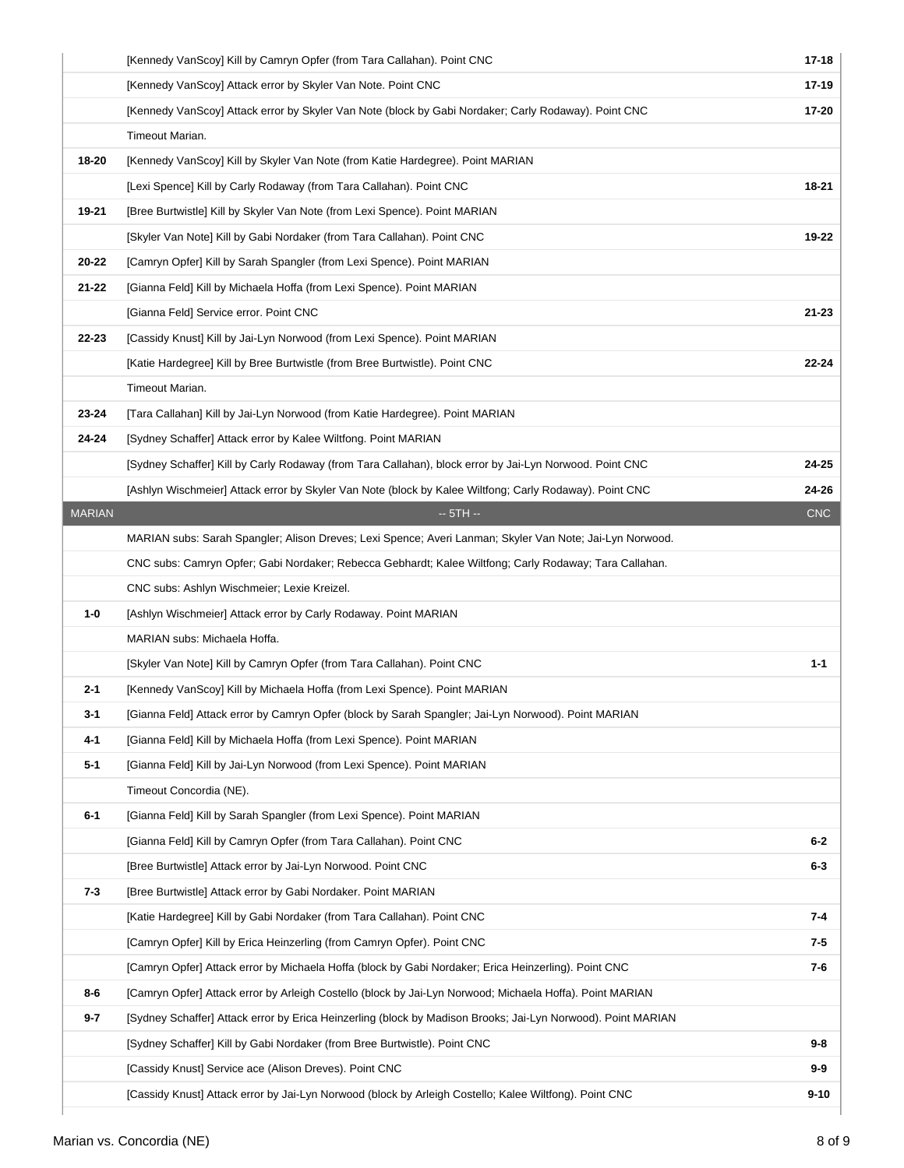|               | [Kennedy VanScoy] Kill by Camryn Opfer (from Tara Callahan). Point CNC                                       | 17-18      |
|---------------|--------------------------------------------------------------------------------------------------------------|------------|
|               | [Kennedy VanScoy] Attack error by Skyler Van Note. Point CNC                                                 | 17-19      |
|               | [Kennedy VanScoy] Attack error by Skyler Van Note (block by Gabi Nordaker; Carly Rodaway). Point CNC         | 17-20      |
|               | Timeout Marian.                                                                                              |            |
| 18-20         | [Kennedy VanScoy] Kill by Skyler Van Note (from Katie Hardegree). Point MARIAN                               |            |
|               | [Lexi Spence] Kill by Carly Rodaway (from Tara Callahan). Point CNC                                          | 18-21      |
| 19-21         | [Bree Burtwistle] Kill by Skyler Van Note (from Lexi Spence). Point MARIAN                                   |            |
|               | [Skyler Van Note] Kill by Gabi Nordaker (from Tara Callahan). Point CNC                                      | 19-22      |
| 20-22         | [Camryn Opfer] Kill by Sarah Spangler (from Lexi Spence). Point MARIAN                                       |            |
| 21-22         | [Gianna Feld] Kill by Michaela Hoffa (from Lexi Spence). Point MARIAN                                        |            |
|               | [Gianna Feld] Service error. Point CNC                                                                       | $21 - 23$  |
| 22-23         | [Cassidy Knust] Kill by Jai-Lyn Norwood (from Lexi Spence). Point MARIAN                                     |            |
|               | [Katie Hardegree] Kill by Bree Burtwistle (from Bree Burtwistle). Point CNC                                  | $22 - 24$  |
|               | Timeout Marian.                                                                                              |            |
| 23-24         | [Tara Callahan] Kill by Jai-Lyn Norwood (from Katie Hardegree). Point MARIAN                                 |            |
| 24-24         | [Sydney Schaffer] Attack error by Kalee Wiltfong. Point MARIAN                                               |            |
|               | [Sydney Schaffer] Kill by Carly Rodaway (from Tara Callahan), block error by Jai-Lyn Norwood. Point CNC      | 24-25      |
|               | [Ashlyn Wischmeier] Attack error by Skyler Van Note (block by Kalee Wiltfong; Carly Rodaway). Point CNC      | 24-26      |
| <b>MARIAN</b> | $-5TH -$                                                                                                     | <b>CNC</b> |
|               | MARIAN subs: Sarah Spangler; Alison Dreves; Lexi Spence; Averi Lanman; Skyler Van Note; Jai-Lyn Norwood.     |            |
|               | CNC subs: Camryn Opfer; Gabi Nordaker; Rebecca Gebhardt; Kalee Wiltfong; Carly Rodaway; Tara Callahan.       |            |
|               | CNC subs: Ashlyn Wischmeier; Lexie Kreizel.                                                                  |            |
| $1 - 0$       | [Ashlyn Wischmeier] Attack error by Carly Rodaway. Point MARIAN                                              |            |
|               | MARIAN subs: Michaela Hoffa.                                                                                 |            |
|               | [Skyler Van Note] Kill by Camryn Opfer (from Tara Callahan). Point CNC                                       | $1 - 1$    |
| $2 - 1$       | [Kennedy VanScoy] Kill by Michaela Hoffa (from Lexi Spence). Point MARIAN                                    |            |
| $3-1$         | [Gianna Feld] Attack error by Camryn Opfer (block by Sarah Spangler; Jai-Lyn Norwood). Point MARIAN          |            |
| 4-1           | [Gianna Feld] Kill by Michaela Hoffa (from Lexi Spence). Point MARIAN                                        |            |
| $5 - 1$       | [Gianna Feld] Kill by Jai-Lyn Norwood (from Lexi Spence). Point MARIAN                                       |            |
|               | Timeout Concordia (NE).                                                                                      |            |
| $6 - 1$       | [Gianna Feld] Kill by Sarah Spangler (from Lexi Spence). Point MARIAN                                        |            |
|               | [Gianna Feld] Kill by Camryn Opfer (from Tara Callahan). Point CNC                                           | $6-2$      |
|               | [Bree Burtwistle] Attack error by Jai-Lyn Norwood. Point CNC                                                 | $6-3$      |
| $7 - 3$       | [Bree Burtwistle] Attack error by Gabi Nordaker. Point MARIAN                                                |            |
|               | [Katie Hardegree] Kill by Gabi Nordaker (from Tara Callahan). Point CNC                                      | 7-4        |
|               | [Camryn Opfer] Kill by Erica Heinzerling (from Camryn Opfer). Point CNC                                      | 7-5        |
|               | [Camryn Opfer] Attack error by Michaela Hoffa (block by Gabi Nordaker; Erica Heinzerling). Point CNC         | 7-6        |
| $8-6$         | [Camryn Opfer] Attack error by Arleigh Costello (block by Jai-Lyn Norwood; Michaela Hoffa). Point MARIAN     |            |
| $9 - 7$       | [Sydney Schaffer] Attack error by Erica Heinzerling (block by Madison Brooks; Jai-Lyn Norwood). Point MARIAN |            |
|               | [Sydney Schaffer] Kill by Gabi Nordaker (from Bree Burtwistle). Point CNC                                    | 9-8        |
|               | [Cassidy Knust] Service ace (Alison Dreves). Point CNC                                                       | $9-9$      |
|               | [Cassidy Knust] Attack error by Jai-Lyn Norwood (block by Arleigh Costello; Kalee Wiltfong). Point CNC       | $9 - 10$   |